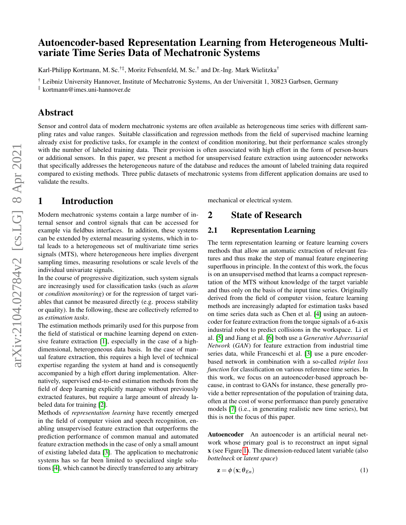# Autoencoder-based Representation Learning from Heterogeneous Multivariate Time Series Data of Mechatronic Systems

Karl-Philipp Kortmann, M. Sc.<sup>†‡</sup>, Moritz Fehsenfeld, M. Sc.<sup>†</sup> and Dr.-Ing. Mark Wielitzka<sup>†</sup>

† Leibniz University Hannover, Institute of Mechatronic Systems, An der Universität 1, 30823 Garbsen, Germany

‡ kortmann@imes.uni-hannover.de

### Abstract

Sensor and control data of modern mechatronic systems are often available as heterogeneous time series with different sampling rates and value ranges. Suitable classification and regression methods from the field of supervised machine learning already exist for predictive tasks, for example in the context of condition monitoring, but their performance scales strongly with the number of labeled training data. Their provision is often associated with high effort in the form of person-hours or additional sensors. In this paper, we present a method for unsupervised feature extraction using autoencoder networks that specifically addresses the heterogeneous nature of the database and reduces the amount of labeled training data required compared to existing methods. Three public datasets of mechatronic systems from different application domains are used to validate the results.

### 1 Introduction

Modern mechatronic systems contain a large number of internal sensor and control signals that can be accessed for example via fieldbus interfaces. In addition, these systems can be extended by external measuring systems, which in total leads to a heterogeneous set of multivariate time series signals (MTS), where heterogeneous here implies divergent sampling times, measuring resolutions or scale levels of the individual univariate signals.

In the course of progressive digitization, such system signals are increasingly used for classification tasks (such as *alarm* or *condition monitoring*) or for the regression of target variables that cannot be measured directly (e.g. process stability or quality). In the following, these are collectively referred to as *estimation tasks*.

The estimation methods primarily used for this purpose from the field of statistical or machine learning depend on extensive feature extraction [\[1\]](#page-4-0), especially in the case of a highdimensional, heterogeneous data basis. In the case of manual feature extraction, this requires a high level of technical expertise regarding the system at hand and is consequently accompanied by a high effort during implementation. Alternatively, supervised end-to-end estimation methods from the field of deep learning explicitly manage without previously extracted features, but require a large amount of already labeled data for training [\[2\]](#page-4-1).

Methods of *representation learning* have recently emerged in the field of computer vision and speech recognition, enabling unsupervised feature extraction that outperforms the prediction performance of common manual and automated feature extraction methods in the case of only a small amount of existing labeled data [\[3\]](#page-5-0). The application to mechatronic systems has so far been limited to specialized single solutions [\[4\]](#page-5-1), which cannot be directly transferred to any arbitrary

mechanical or electrical system.

## 2 State of Research

### 2.1 Representation Learning

The term representation learning or feature learning covers methods that allow an automatic extraction of relevant features and thus make the step of manual feature engineering superfluous in principle. In the context of this work, the focus is on an unsupervised method that learns a compact representation of the MTS without knowledge of the target variable and thus only on the basis of the input time series. Originally derived from the field of computer vision, feature learning methods are increasingly adapted for estimation tasks based on time series data such as Chen et al. [\[4\]](#page-5-1) using an autoencoder for feature extraction from the torque signals of a 6-axis industrial robot to predict collisions in the workspace. Li et al. [\[5\]](#page-5-2) and Jiang et al. [\[6\]](#page-5-3) both use a *Generative Adverssarial Network* (*GAN*) for feature extraction from industrial time series data, while Franceschi et al. [\[3\]](#page-5-0) use a pure encoderbased network in combination with a so-called *triplet loss function* for classification on various reference time series. In this work, we focus on an autoencoder-based approach because, in contrast to GANs for instance, these generally provide a better representation of the population of training data, often at the cost of worse performance than purely generative models [\[7\]](#page-5-4) (i.e., in generating realistic new time series), but this is not the focus of this paper.

Autoencoder An autoencoder is an artificial neural network whose primary goal is to reconstruct an input signal x (see Figure [1\)](#page-1-0). The dimension-reduced latent variable (also *bottelneck* or *latent space*)

$$
\mathbf{z} = \phi\left(\mathbf{x}; \theta_{En}\right) \tag{1}
$$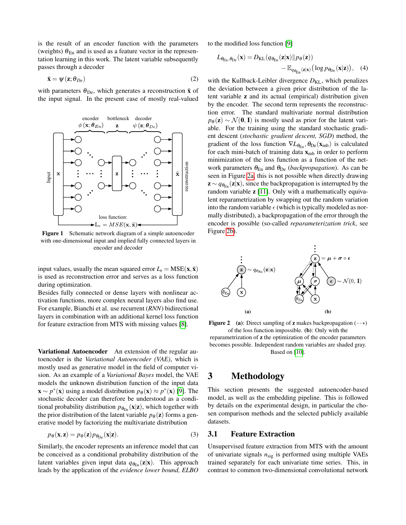is the result of an encoder function with the parameters (weights)  $\theta_{En}$  and is used as a feature vector in the representation learning in this work. The latent variable subsequently passes through a decoder

$$
\tilde{\mathbf{x}} = \psi(\mathbf{z}; \theta_{De}) \tag{2}
$$

with parameters  $\theta_{De}$ , which generates a reconstruction  $\tilde{x}$  of the input signal. In the present case of mostly real-valued

<span id="page-1-0"></span>

Figure 1 Schematic network diagram of a simple autoencoder with one-dimensional input and implied fully connected layers in encoder and decoder

input values, usually the mean squared error  $L_r = \text{MSE}(\mathbf{x}, \tilde{\mathbf{x}})$ is used as reconstruction error and serves as a loss function during optimization.

Besides fully connected or dense layers with nonlinear activation functions, more complex neural layers also find use. For example, Bianchi et al. use recurrent (*RNN*) bidirectional layers in combination with an additional kernel loss function for feature extraction from MTS with missing values [\[8\]](#page-5-5).

Variational Autoencoder An extension of the regular autoencoder is the *Variational Autoencoder (VAE)*, which is mostly used as generative model in the field of computer vision. As an example of a *Variational Bayes* model, the VAE models the unknown distribution function of the input data  $\mathbf{x} \sim p^*(\mathbf{x})$  using a model distribution  $p_{\theta}(\mathbf{x}) \approx p^*(\mathbf{x})$  [\[9\]](#page-5-6). The stochastic decoder can therefore be understood as a conditional probability distribution  $p_{\theta_{\text{De}}}(\mathbf{x}|\mathbf{z})$ , which together with the prior distribution of the latent variable  $p_{\theta}(\mathbf{z})$  forms a generative model by factorizing the multivariate distribution

$$
p_{\theta}(\mathbf{x}, \mathbf{z}) = p_{\theta}(\mathbf{z}) p_{\theta_{\text{De}}}(\mathbf{x}|\mathbf{z}).
$$
\n(3)

Similarly, the encoder represents an inference model that can be conceived as a conditional probability distribution of the latent variables given input data  $q_{\theta_{En}}(\mathbf{z}|\mathbf{x})$ . This approach leads by the application of the *evidence lower bound, ELBO*

to the modified loss function [\[9\]](#page-5-6)

$$
L_{\theta_{\text{En}},\theta_{\text{De}}}(\mathbf{x}) = D_{\text{KL}}(q_{\theta_{\text{En}}}(\mathbf{z}|\mathbf{x}) \| p_{\theta}(\mathbf{z})) - \mathbb{E}_{q_{\theta_{\text{En}}}(\mathbf{z}|\mathbf{x})} \left( \log p_{\theta_{\text{De}}}(\mathbf{x}|\mathbf{z}) \right), \quad (4)
$$

with the Kullback-Leibler divergence  $D_{\text{KL}}$ , which penalizes the deviation between a given prior distribution of the latent variable z and its actual (empirical) distribution given by the encoder. The second term represents the reconstruction error. The standard multivariate normal distribution  $p_{\theta}(\mathbf{z}) \sim \mathcal{N}(\mathbf{0}, \mathbf{I})$  is mostly used as prior for the latent variable. For the training using the standard stochastic gradient descent (*stochastic gradient descent, SGD*) method, the gradient of the loss function  $\nabla L_{\theta_{\text{En}}}, \theta_{\text{De}}(\mathbf{x}_{\text{mb}})$  is calculated for each mini-batch of training data  $x<sub>mb</sub>$  in order to perform minimization of the loss function as a function of the network parameters  $\theta_{En}$  and  $\theta_{De}$  (*backpropagation*). As can be seen in Figure [2a,](#page-1-1) this is not possible when directly drawing  $\mathbf{z} \sim q_{\theta_{\text{En}}}(\mathbf{z}|\mathbf{x})$ , since the backpropagation is interrupted by the random variable z [\[11\]](#page-5-7). Only with a mathematically equivalent reparametrization by swapping out the random variation into the random variable  $\epsilon$  (which is typically modeled as normally distributed), a backpropagation of the error through the encoder is possible (so-called *reparameterization trick*, see Figure [2b\)](#page-1-1).

<span id="page-1-1"></span>

**Figure 2** (a): Direct sampling of **z** makes backpropagation  $(-\rightarrow)$ of the loss function impossible. (b): Only with the reparametrization of z the optimization of the encoder parameters becomes possible. Independent random variables are shaded gray. Based on [\[10\]](#page-5-8).

# 3 Methodology

This section presents the suggested autoencoder-based model, as well as the embedding pipeline. This is followed by details on the experimental design, in particular the chosen comparison methods and the selected publicly available datasets.

#### 3.1 Feature Extraction

Unsupervised feature extraction from MTS with the amount of univariate signals *n*sig is performed using multiple VAEs trained separately for each univariate time series. This, in contrast to common two-dimensional convolutional network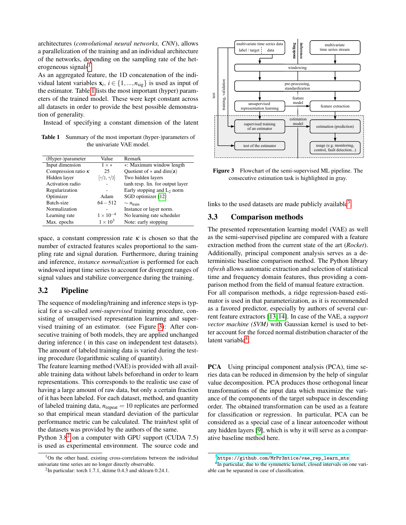architectures (*convolutional neural networks, CNN*), allows a parallelization of the training and an individual architecture of the networks, depending on the sampling rate of the het-erogeneous signals<sup>[1](#page-2-0)</sup>.

As an aggregated feature, the 1D concatenation of the individual latent variables  $\mathbf{x}_i$ ,  $i \in \{1, ..., n_{\text{sig}}\}$  is used as input of the estimator. Table [1](#page-2-1) lists the most important (hyper) parameters of the trained model. These were kept constant across all datasets in order to provide the best possible demonstration of generality.

Instead of specifying a constant dimension of the latent

<span id="page-2-1"></span>Table 1 Summary of the most important (hyper-)parameters of the univariate VAE model.

| (Hyper-)parameter          | Value              | Remark                           |
|----------------------------|--------------------|----------------------------------|
| Input dimension            | $1 \times *$       | *: Maximum window length         |
| Compression ratio $\kappa$ | 25                 | Quotient of $*$ and dim( $z$ )   |
| Hidden layer               | $ */2,*/2 $        | Two hidden layers                |
| Activation radio           |                    | tanh resp. lin. for output layer |
| Regularization             |                    | Early stopping and $L_2$ norm    |
| Optimizer                  | Adam               | SGD optimizer [12]               |
| Batch-size                 | $64 - 512$         | $\sim$ $n_{\text{train}}$        |
| Normalization              |                    | Instance or layer norm.          |
| Learning rate              | $1 \times 10^{-4}$ | No learning rate scheduler       |
| Max. epochs                | $1 \times 10^3$    | Note: early stopping             |

space, a constant compression rate  $\kappa$  is chosen so that the number of extracted features scales proportional to the sampling rate and signal duration. Furthermore, during training and inference, *instance normalization* is performed for each windowed input time series to account for divergent ranges of signal values and stabilize convergence during the training.

#### 3.2 Pipeline

The sequence of modeling/training and inference steps is typical for a so-called *semi-supervised* training procedure, consisting of unsupervised representation learning and supervised training of an estimator. (see Figure [3\)](#page-2-2): After consecutive training of both models, they are applied unchanged during inference ( in this case on independent test datasets). The amount of labeled training data is varied during the testing procedure (logarithmic scaling of quantity).

The feature learning method (VAE) is provided with all available training data without labels beforehand in order to learn representations. This corresponds to the realistic use case of having a large amount of raw data, but only a certain fraction of it has been labeled. For each dataset, method, and quantity of labeled training data,  $n_{\text{repeat}} = 10$  replicates are performed so that empirical mean standard deviation of the particular performance metric can be calculated. The train/test split of the datasets was provided by the authors of the same.

Python  $3.8<sup>2</sup>$  $3.8<sup>2</sup>$  $3.8<sup>2</sup>$  on a computer with GPU support (CUDA 7.5) is used as experimental environment. The source code and

<span id="page-2-2"></span>

Figure 3 Flowchart of the semi-supervised ML pipeline. The consecutive estimation task is highlighted in gray.

links to the used datasets are made publicly available<sup>[3](#page-2-4)</sup>.

#### 3.3 Comparison methods

The presented representation learning model (VAE) as well as the semi-supervised pipeline are compared with a feature extraction method from the current state of the art (*Rocket*). Additionally, principal component analysis serves as a deterministic baseline comparison method. The Python library *tsfresh* allows automatic extraction and selection of statistical time and frequency domain features, thus providing a comparison method from the field of manual feature extraction. For all comparison methods, a ridge regression-based estimator is used in that parameterization, as it is recommended as a favored predictor, especially by authors of several current feature extractors [\[13,](#page-5-10) [14\]](#page-5-11). In case of the VAE, a *support vector machine (SVM)* with Gaussian kernel is used to better account for the forced normal distribution character of the latent variable<sup>[4](#page-2-5)</sup>.

PCA Using principal component analysis (PCA), time series data can be reduced in dimension by the help of singular value decomposition. PCA produces those orthogonal linear transformations of the input data which maximize the variance of the components of the target subspace in descending order. The obtained transformation can be used as a feature for classification or regression. In particular, PCA can be considered as a special case of a linear autoencoder without any hidden layers [\[9\]](#page-5-6), which is why it will serve as a comparative baseline method here.

<span id="page-2-0"></span><sup>&</sup>lt;sup>1</sup>On the other hand, existing cross-correlations between the individual univariate time series are no longer directly observable.

<span id="page-2-3"></span><sup>2</sup> In particular: torch 1.7.1, sktime 0.4.3 and sklearn 0.24.1.

<span id="page-2-5"></span><span id="page-2-4"></span> $^3$ [https://github.com/MrPr3ntice/vae\\_rep\\_learn\\_mts](https://github.com/MrPr3ntice/vae_rep_learn_mts)

<sup>&</sup>lt;sup>4</sup>In particular, due to the symmetric kernel, closed intervals on one variable can be separated in case of classification.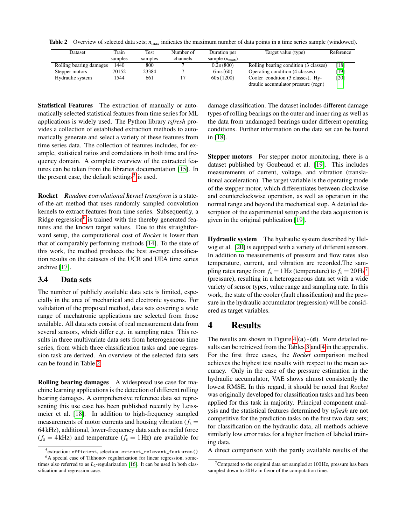<span id="page-3-2"></span>Table 2 Overview of selected data sets;  $n_{\text{max}}$  indicates the maximum number of data points in a time series sample (windowed).

| Dataset                 | Train   | Test    | Number of | Duration per              | Target value (type)                   | Reference |
|-------------------------|---------|---------|-----------|---------------------------|---------------------------------------|-----------|
|                         | samples | samples | channels  | sample $(n_{\text{max}})$ |                                       |           |
| Rolling bearing damages | 1440    | 800     |           | 0.2 s(800)                | Rolling bearing condition (3 classes) | [18]      |
| Stepper motors          | 70152   | 23384   |           | $6 \,\mathrm{ms} (60)$    | Operating condition (4 classes)       | [19]      |
| Hydraulic system        | 1544    | 661     |           | 60s(1200)                 | Cooler condition (3 classes), Hy-     | [20]      |
|                         |         |         |           |                           | draulic accumulator pressure (regr.)  |           |

Statistical Features The extraction of manually or automatically selected statistical features from time series for ML applications is widely used. The Python library *tsfresh* provides a collection of established extraction methods to automatically generate and select a variety of these features from time series data. The collection of features includes, for example, statistical ratios and correlations in both time and frequency domain. A complete overview of the extracted features can be taken from the libraries documentation [\[15\]](#page-5-15). In the present case, the default settings<sup>[5](#page-3-0)</sup> is used.

Rocket *Random convolutional kernel transform* is a stateof-the-art method that uses randomly sampled convolution kernels to extract features from time series. Subsequently, a Ridge regression<sup>[6](#page-3-1)</sup> is trained with the thereby generated features and the known target values. Due to this straightforward setup, the computational cost of *Rocket* is lower than that of comparably performing methods [\[14\]](#page-5-11). To the state of this work, the method produces the best average classification results on the datasets of the UCR and UEA time series archive [\[17\]](#page-5-16).

#### 3.4 Data sets

The number of publicly available data sets is limited, especially in the area of mechanical and electronic systems. For validation of the proposed method, data sets covering a wide range of mechatronic applications are selected from those available. All data sets consist of real measurement data from several sensors, which differ e.g. in sampling rates. This results in three multivariate data sets from heterogeneous time series, from which three classification tasks and one regression task are derived. An overview of the selected data sets can be found in Table [2.](#page-3-2)

Rolling bearing damages A widespread use case for machine learning applications is the detection of different rolling bearing damages. A comprehensive reference data set representing this use case has been published recently by Leissmeier et al. [\[18\]](#page-5-12). In addition to high-frequency sampled measurements of motor currents and housing vibration  $(f_s =$ 64 kHz), additional, lower-frequency data such as radial force  $(f_s = 4 \text{ kHz})$  and temperature  $(f_s = 1 \text{ Hz})$  are available for

damage classification. The dataset includes different damage types of rolling bearings on the outer and inner ring as well as the data from undamaged bearings under different operating conditions. Further information on the data set can be found in [\[18\]](#page-5-12).

Stepper motors For stepper motor monitoring, there is a dataset published by Goubeaud et al. [\[19\]](#page-5-13). This includes measurements of current, voltage, and vibration (translational acceleration). The target variable is the operating mode of the stepper motor, which differentiates between clockwise and counterclockwise operation, as well as operation in the normal range and beyond the mechanical stop. A detailed description of the experimental setup and the data acquisition is given in the original publication [\[19\]](#page-5-13).

Hydraulic system The hydraulic system described by Helwig et al. [\[20\]](#page-5-14) is equipped with a variety of different sensors. In addition to measurements of pressure and flow rates also temperature, current, and vibration are recorded.The sampling rates range from  $f_s = 1$  Hz (temperature) to  $f_s = 20$  Hz<sup>[7](#page-3-3)</sup> (pressure), resulting in a heterogeneous data set with a wide variety of sensor types, value range and sampling rate. In this work, the state of the cooler (fault classification) and the pressure in the hydraulic accumulator (regression) will be considered as target variables.

### 4 Results

The results are shown in Figure [4](#page-4-2)  $(a) - (d)$ . More detailed results can be retrieved from the Tables [3](#page-6-0) and [4](#page-6-1) in the appendix. For the first three cases, the *Rocket* comparison method achieves the highest test results with respect to the mean accuracy. Only in the case of the pressure estimation in the hydraulic accumulator, VAE shows almost consistently the lowest RMSE. In this regard, it should be noted that *Rocket* was originally developed for classification tasks and has been applied for this task in majority. Principal component analysis and the statistical features determined by *tsfresh* are not competitive for the prediction tasks on the first two data sets; for classification on the hydraulic data, all methods achieve similarly low error rates for a higher fraction of labeled training data.

A direct comparison with the partly available results of the

<span id="page-3-1"></span><span id="page-3-0"></span> $^5$ extraction: efficient, selection: extract\_relevant\_feat ures()

<sup>6</sup>A special case of Tikhonov regularization for linear regression, sometimes also referred to as  $L_2$ -regularization [\[16\]](#page-5-17). It can be used in both classification and regression case.

<span id="page-3-3"></span> $7$ Compared to the original data set sampled at 100 Hz, pressure has been sampled down to 20Hz in favor of the computation time.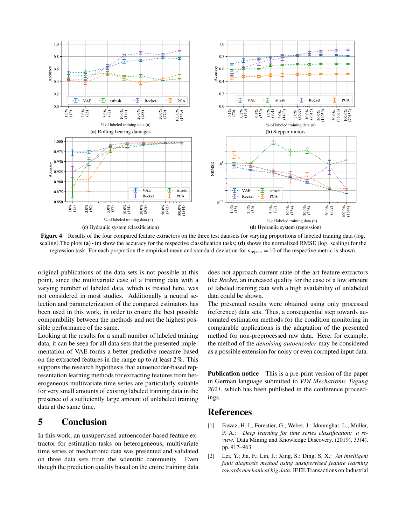<span id="page-4-2"></span>

Figure 4 Results of the four compared feature extractors on the three test datasets for varying proportions of labeled training data (log. scaling). The plots  $(a)$  -  $(c)$  show the accuracy for the respective classification tasks;  $(d)$  shows the normalized RMSE (log. scaling) for the regression task. For each proportion the empirical mean and standard deviation for  $n_{\text{repeat}} = 10$  of the respective metric is shown.

original publications of the data sets is not possible at this point, since the multivariate case of a training data with a varying number of labeled data, which is treated here, was not considered in most studies. Additionally a neutral selection and parameterization of the compared estimators has been used in this work, in order to ensure the best possible comparability between the methods and not the highest possible performance of the same.

Looking at the results for a small number of labeled training data, it can be seen for all data sets that the presented implementation of VAE forms a better predictive measure based on the extracted features in the range up to at least  $2\%$ . This supports the research hypothesis that autoencoder-based representation learning methods for extracting features from heterogeneous multivariate time series are particularly suitable for very small amounts of existing labeled training data in the presence of a sufficiently large amount of unlabeled training data at the same time.

## 5 Conclusion

In this work, an unsupervised autoencoder-based feature extractor for estimation tasks on heterogeneous, multivariate time series of mechatronic data was presented and validated on three data sets from the scientific community. Even though the prediction quality based on the entire training data

does not approach current state-of-the-art feature extractors like *Rocket*, an increased quality for the case of a low amount of labeled training data with a high availability of unlabeled data could be shown.

The presented results were obtained using only processed (reference) data sets. Thus, a consequential step towards automated estimation methods for the condition monitoring in comparable applications is the adaptation of the presented method for non-preprocessed raw data. Here, for example, the method of the *denoising autoencoder* may be considered as a possible extension for noisy or even corrupted input data.

**Publication notice** This is a pre-print version of the paper in German language submitted to *VDI Mechatronic Tagung 2021*, which has been published in the conference proceedings.

# References

- <span id="page-4-0"></span>[1] Fawaz, H. I.; Forestier, G.; Weber, J.; Idoumghar, L.; Muller, P. A.: *Deep learning for time series classification: a review*. Data Mining and Knowledge Discovery. (2019), 33(4), pp. 917–963.
- <span id="page-4-1"></span>[2] Lei, Y.; Jia, F.; Lin, J.; Xing, S.; Ding, S. X.: *An intelligent fault diagnosis method using unsupervised feature learning towards mechanical big data*. IEEE Transactions on Industrial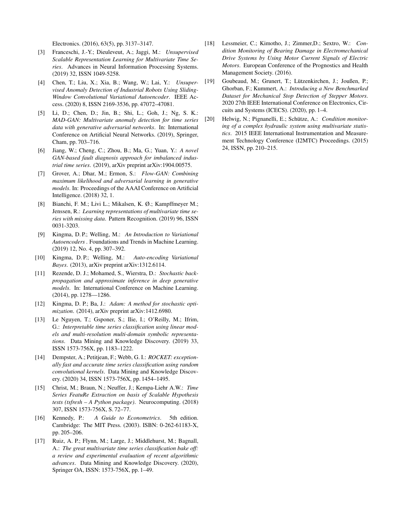Electronics. (2016), 63(5), pp. 3137–3147.

- <span id="page-5-0"></span>[3] Franceschi, J.-Y.; Dieuleveut, A.; Jaggi, M.: *Unsupervised Scalable Representation Learning for Multivariate Time Series*. Advances in Neural Information Processing Systems. (2019) 32, ISSN 1049-5258.
- <span id="page-5-1"></span>[4] Chen, T.; Liu, X.; Xia, B.; Wang, W.; Lai, Y.: *Unsupervised Anomaly Detection of Industrial Robots Using Sliding-Window Convolutional Variational Autoencoder*. IEEE Access. (2020) 8, ISSN 2169-3536, pp. 47072–47081.
- <span id="page-5-2"></span>[5] Li, D.; Chen, D.; Jin, B.; Shi, L.; Goh, J.; Ng, S. K.: *MAD-GAN: Multivariate anomaly detection for time series data with generative adversarial networks*. In: International Conference on Artificial Neural Networks. (2019), Springer, Cham, pp. 703–716.
- <span id="page-5-3"></span>[6] Jiang, W.; Cheng, C.; Zhou, B.; Ma, G.; Yuan, Y.: *A novel GAN-based fault diagnosis approach for imbalanced industrial time series*. (2019), arXiv preprint arXiv:1904.00575.
- <span id="page-5-4"></span>[7] Grover, A.; Dhar, M.; Ermon, S.: *Flow-GAN: Combining maximum likelihood and adversarial learning in generative models*. In: Proceedings of the AAAI Conference on Artificial Intelligence. (2018) 32, 1.
- <span id="page-5-5"></span>[8] Bianchi, F. M.; Livi L.; Mikalsen, K. Ø.; Kampffmeyer M.; Jenssen, R.: *Learning representations of multivariate time series with missing data*. Pattern Recognition. (2019) 96, ISSN 0031-3203.
- <span id="page-5-6"></span>[9] Kingma, D. P.; Welling, M.: *An Introduction to Variational Autoencoders* . Foundations and Trends in Machine Learning. (2019) 12, No. 4, pp. 307–392.
- <span id="page-5-8"></span>[10] Kingma, D. P.; Welling, M.: *Auto-encoding Variational Bayes*. (2013), arXiv preprint arXiv:1312.6114.
- <span id="page-5-7"></span>[11] Rezende, D. J.; Mohamed, S., Wierstra, D.: *Stochastic backpropagation and approximate inference in deep generative models*. In: International Conference on Machine Learning. (2014), pp. 1278—1286.
- <span id="page-5-9"></span>[12] Kingma, D. P.; Ba, J.: *Adam: A method for stochastic optimization*. (2014), arXiv preprint arXiv:1412.6980.
- <span id="page-5-10"></span>[13] Le Nguyen, T.; Gsponer, S.; Ilie, I.; O'Reilly, M.; Ifrim, G.: *Interpretable time series classification using linear models and multi-resolution multi-domain symbolic representations*. Data Mining and Knowledge Discovery. (2019) 33, ISSN 1573-756X, pp. 1183–1222.
- <span id="page-5-11"></span>[14] Dempster, A.; Petitjean, F.; Webb, G. I.: *ROCKET: exceptionally fast and accurate time series classification using random convolutional kernels*. Data Mining and Knowledge Discovery. (2020) 34, ISSN 1573-756X, pp. 1454–1495.
- <span id="page-5-15"></span>[15] Christ, M.; Braun, N.; Neuffer, J.; Kempa-Liehr A.W.: *Time Series FeatuRe Extraction on basis of Scalable Hypothesis tests (tsfresh – A Python package)*. Neurocomputing. (2018) 307, ISSN 1573-756X, S. 72–77.
- <span id="page-5-17"></span>[16] Kennedy, P.: *A Guide to Econometrics*. 5th edition. Cambridge: The MIT Press. (2003). ISBN: 0-262-61183-X, pp. 205–206.
- <span id="page-5-16"></span>[17] Ruiz, A. P.; Flynn, M.; Large, J.; Middlehurst, M.; Bagnall, A.: *The great multivariate time series classification bake off: a review and experimental evaluation of recent algorithmic advances*. Data Mining and Knowledge Discovery. (2020), Springer OA, ISSN: 1573-756X, pp. 1–49.
- <span id="page-5-12"></span>[18] Lessmeier, C.; Kimotho, J.; Zimmer,D.; Sextro, W.: *Condition Monitoring of Bearing Damage in Electromechanical Drive Systems by Using Motor Current Signals of Electric Motors*. European Conference of the Prognostics and Health Management Society. (2016).
- <span id="page-5-13"></span>[19] Goubeaud, M.; Grunert, T.; Lützenkirchen, J.; Joußen, P.; Ghorban, F.; Kummert, A.: *Introducing a New Benchmarked Dataset for Mechanical Stop Detection of Stepper Motors*. 2020 27th IEEE International Conference on Electronics, Circuits and Systems (ICECS). (2020), pp. 1–4.
- <span id="page-5-14"></span>[20] Helwig, N.; Pignanelli, E.; Schütze, A.: *Condition monitoring of a complex hydraulic system using multivariate statistics*. 2015 IEEE International Instrumentation and Measurement Technology Conference (I2MTC) Proceedings. (2015) 24, ISSN, pp. 210–215.